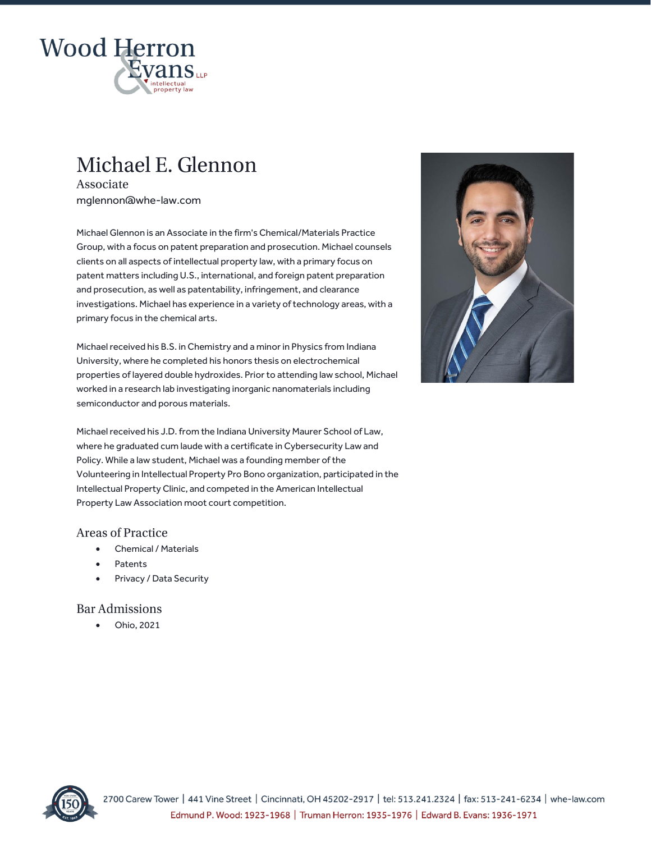

# Michael E. Glennon

Associate mglennon@whe-law.com

Michael Glennon is an Associate in the firm's Chemical/Materials Practice Group, with a focus on patent preparation and prosecution. Michael counsels clients on all aspects of intellectual property law, with a primary focus on patent matters including U.S., international, and foreign patent preparation and prosecution, as well as patentability, infringement, and clearance investigations. Michael has experience in a variety of technology areas, with a primary focus in the chemical arts.

Michael received his B.S. in Chemistry and a minor in Physics from Indiana University, where he completed his honors thesis on electrochemical properties of layered double hydroxides. Prior to attending law school, Michael worked in a research lab investigating inorganic nanomaterials including semiconductor and porous materials.

Michael received his J.D. from the Indiana University Maurer School of Law, where he graduated cum laude with a certificate in Cybersecurity Law and Policy. While a law student, Michael was a founding member of the Volunteering in Intellectual Property Pro Bono organization, participated in the Intellectual Property Clinic, and competed in the American Intellectual Property Law Association moot court competition.

## **Areas of Practice**

- Chemical / Materials
- Patents
- Privacy / Data Security

## **Bar Admissions**

• Ohio, 2021